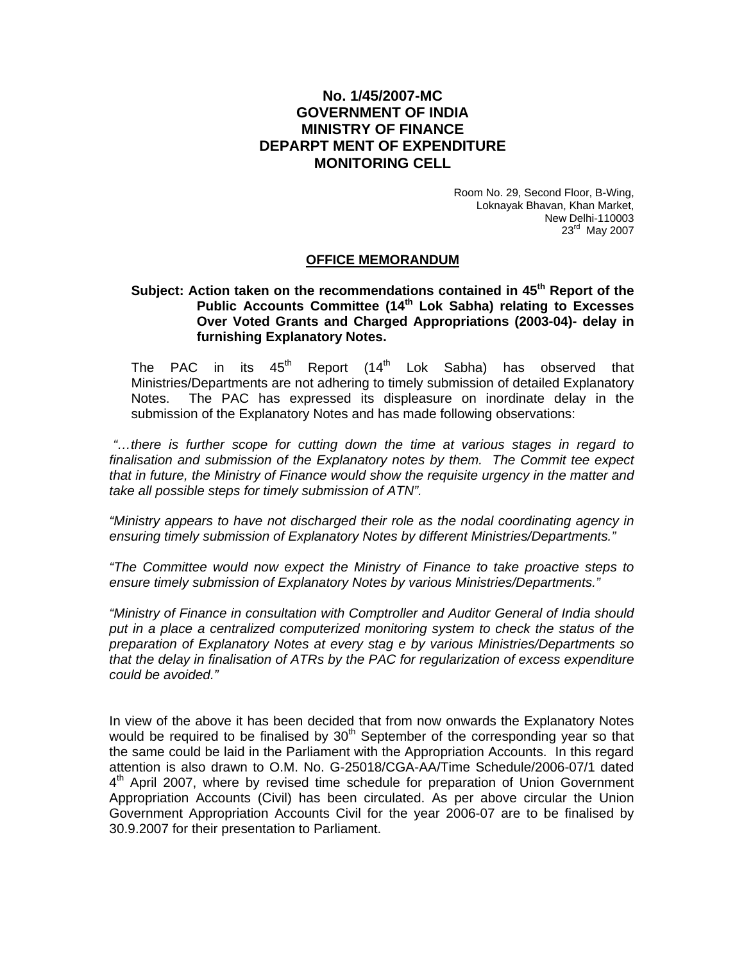## **No. 1/45/2007-MC GOVERNMENT OF INDIA MINISTRY OF FINANCE DEPARPT MENT OF EXPENDITURE MONITORING CELL**

Room No. 29, Second Floor, B-Wing, Loknayak Bhavan, Khan Market, New Delhi-110003 23rd May 2007

## **OFFICE MEMORANDUM**

## Subject: Action taken on the recommendations contained in 45<sup>th</sup> Report of the **Public Accounts Committee (14th Lok Sabha) relating to Excesses Over Voted Grants and Charged Appropriations (2003-04)- delay in furnishing Explanatory Notes.**

The PAC in its  $45<sup>th</sup>$  Report (14<sup>th</sup> Lok Sabha) has observed that Ministries/Departments are not adhering to timely submission of detailed Explanatory Notes. The PAC has expressed its displeasure on inordinate delay in the submission of the Explanatory Notes and has made following observations:

*"…there is further scope for cutting down the time at various stages in regard to finalisation and submission of the Explanatory notes by them. The Commit tee expect that in future, the Ministry of Finance would show the requisite urgency in the matter and take all possible steps for timely submission of ATN".* 

*"Ministry appears to have not discharged their role as the nodal coordinating agency in ensuring timely submission of Explanatory Notes by different Ministries/Departments."* 

*"The Committee would now expect the Ministry of Finance to take proactive steps to ensure timely submission of Explanatory Notes by various Ministries/Departments."* 

*"Ministry of Finance in consultation with Comptroller and Auditor General of India should*  put in a place a centralized computerized monitoring system to check the status of the *preparation of Explanatory Notes at every stag e by various Ministries/Departments so that the delay in finalisation of ATRs by the PAC for regularization of excess expenditure could be avoided."* 

In view of the above it has been decided that from now onwards the Explanatory Notes would be required to be finalised by  $30<sup>th</sup>$  September of the corresponding year so that the same could be laid in the Parliament with the Appropriation Accounts. In this regard attention is also drawn to O.M. No. G-25018/CGA-AA/Time Schedule/2006-07/1 dated 4<sup>th</sup> April 2007, where by revised time schedule for preparation of Union Government Appropriation Accounts (Civil) has been circulated. As per above circular the Union Government Appropriation Accounts Civil for the year 2006-07 are to be finalised by 30.9.2007 for their presentation to Parliament.